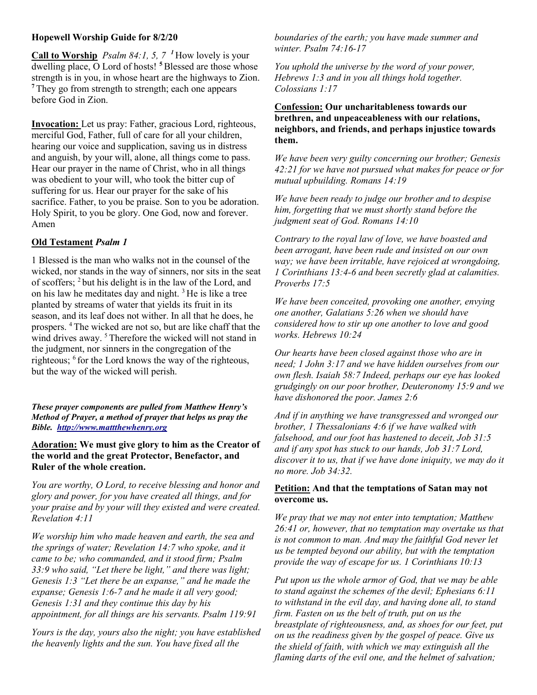## Hopewell Worship Guide for 8/2/20

Call to Worship *Psalm 84:1, 5, 7* <sup>1</sup>How lovely is your dwelling place, O Lord of hosts!<sup>5</sup> Blessed are those whose strength is in you, in whose heart are the highways to Zion. <sup>7</sup>They go from strength to strength; each one appears before God in Zion.

Invocation: Let us pray: Father, gracious Lord, righteous, merciful God, Father, full of care for all your children, hearing our voice and supplication, saving us in distress and anguish, by your will, alone, all things come to pass. Hear our prayer in the name of Christ, who in all things was obedient to your will, who took the bitter cup of suffering for us. Hear our prayer for the sake of his sacrifice. Father, to you be praise. Son to you be adoration. Holy Spirit, to you be glory. One God, now and forever. Amen

# Old Testament Psalm 1

1 Blessed is the man who walks not in the counsel of the wicked, nor stands in the way of sinners, nor sits in the seat of scoffers; <sup>2</sup>but his delight is in the law of the Lord, and on his law he meditates day and night.  $3$  He is like a tree planted by streams of water that yields its fruit in its season, and its leaf does not wither. In all that he does, he prospers. <sup>4</sup>The wicked are not so, but are like chaff that the wind drives away.<sup>5</sup> Therefore the wicked will not stand in the judgment, nor sinners in the congregation of the righteous; <sup>6</sup> for the Lord knows the way of the righteous, but the way of the wicked will perish.

These prayer components are pulled from Matthew Henry's Method of Prayer, a method of prayer that helps us pray the Bible. http://www.mattthewhenry.org

Adoration: We must give glory to him as the Creator of the world and the great Protector, Benefactor, and Ruler of the whole creation.

You are worthy, O Lord, to receive blessing and honor and glory and power, for you have created all things, and for your praise and by your will they existed and were created. Revelation 4:11

We worship him who made heaven and earth, the sea and the springs of water; Revelation 14:7 who spoke, and it came to be; who commanded, and it stood firm; Psalm 33:9 who said, "Let there be light," and there was light; Genesis 1:3 "Let there be an expanse," and he made the expanse; Genesis 1:6-7 and he made it all very good; Genesis 1:31 and they continue this day by his appointment, for all things are his servants. Psalm 119:91

Yours is the day, yours also the night; you have established the heavenly lights and the sun. You have fixed all the

boundaries of the earth; you have made summer and winter. Psalm 74:16-17

You uphold the universe by the word of your power, Hebrews 1:3 and in you all things hold together. Colossians 1:17

# Confession: Our uncharitableness towards our brethren, and unpeaceableness with our relations, neighbors, and friends, and perhaps injustice towards them.

We have been very guilty concerning our brother; Genesis 42:21 for we have not pursued what makes for peace or for mutual upbuilding. Romans 14:19

We have been ready to judge our brother and to despise him, forgetting that we must shortly stand before the judgment seat of God. Romans 14:10

Contrary to the royal law of love, we have boasted and been arrogant, have been rude and insisted on our own way; we have been irritable, have rejoiced at wrongdoing, 1 Corinthians 13:4-6 and been secretly glad at calamities. Proverbs 17:5

We have been conceited, provoking one another, envying one another, Galatians 5:26 when we should have considered how to stir up one another to love and good works. Hebrews 10:24

Our hearts have been closed against those who are in need; 1 John 3:17 and we have hidden ourselves from our own flesh. Isaiah 58:7 Indeed, perhaps our eye has looked grudgingly on our poor brother, Deuteronomy 15:9 and we have dishonored the poor. James 2:6

And if in anything we have transgressed and wronged our brother, 1 Thessalonians 4:6 if we have walked with falsehood, and our foot has hastened to deceit, Job 31:5 and if any spot has stuck to our hands, Job 31:7 Lord, discover it to us, that if we have done iniquity, we may do it no more. Job 34:32.

### Petition: And that the temptations of Satan may not overcome us.

We pray that we may not enter into temptation; Matthew 26:41 or, however, that no temptation may overtake us that is not common to man. And may the faithful God never let us be tempted beyond our ability, but with the temptation provide the way of escape for us. 1 Corinthians 10:13

Put upon us the whole armor of God, that we may be able to stand against the schemes of the devil; Ephesians 6:11 to withstand in the evil day, and having done all, to stand firm. Fasten on us the belt of truth, put on us the breastplate of righteousness, and, as shoes for our feet, put on us the readiness given by the gospel of peace. Give us the shield of faith, with which we may extinguish all the flaming darts of the evil one, and the helmet of salvation;